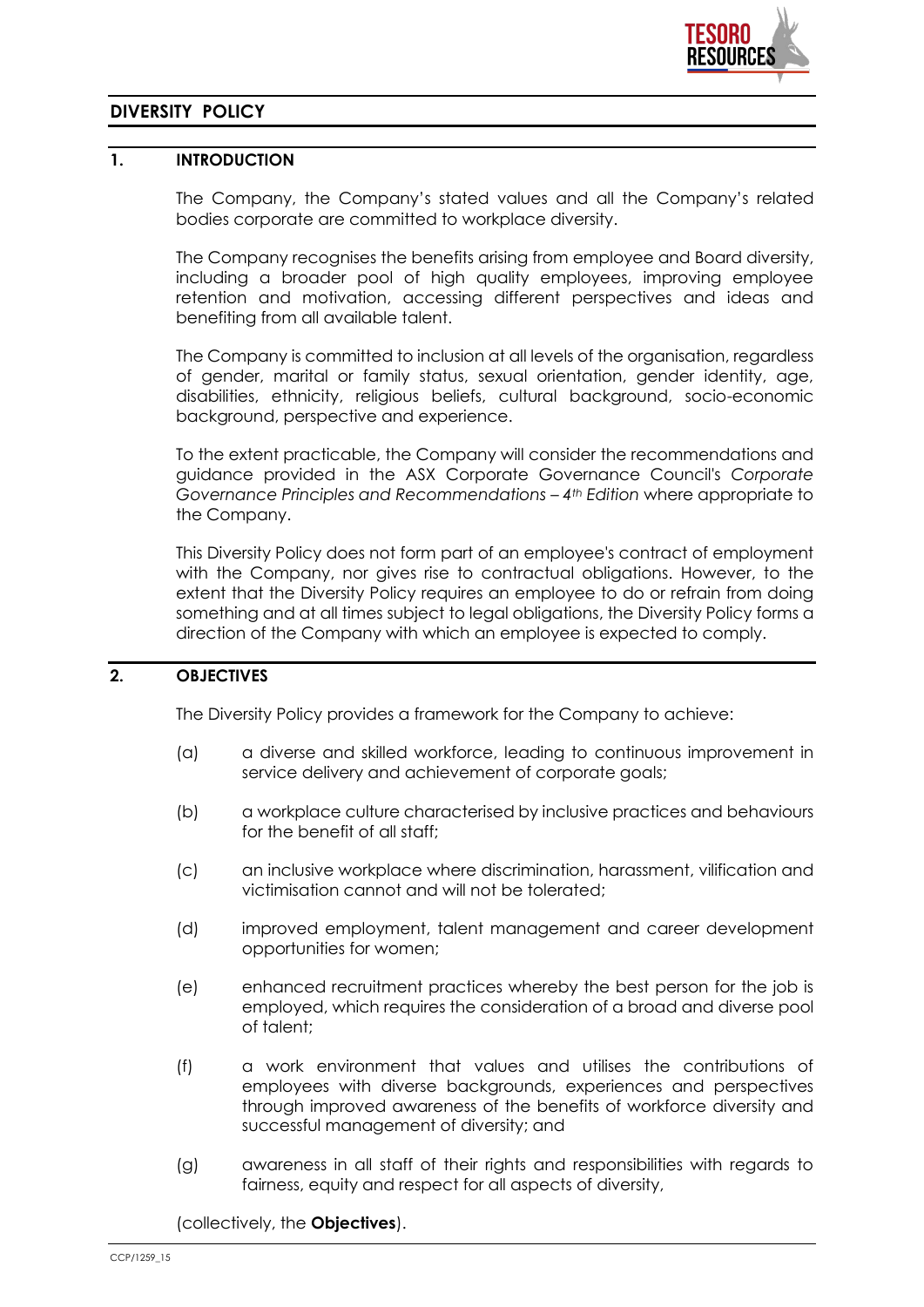

# **DIVERSITY POLICY**

### **1. INTRODUCTION**

The Company, the Company's stated values and all the Company's related bodies corporate are committed to workplace diversity.

The Company recognises the benefits arising from employee and Board diversity, including a broader pool of high quality employees, improving employee retention and motivation, accessing different perspectives and ideas and benefiting from all available talent.

The Company is committed to inclusion at all levels of the organisation, regardless of gender, marital or family status, sexual orientation, gender identity, age, disabilities, ethnicity, religious beliefs, cultural background, socio-economic background, perspective and experience.

To the extent practicable, the Company will consider the recommendations and guidance provided in the ASX Corporate Governance Council's *Corporate Governance Principles and Recommendations – 4th Edition* where appropriate to the Company.

This Diversity Policy does not form part of an employee's contract of employment with the Company, nor gives rise to contractual obligations. However, to the extent that the Diversity Policy requires an employee to do or refrain from doing something and at all times subject to legal obligations, the Diversity Policy forms a direction of the Company with which an employee is expected to comply.

### **2. OBJECTIVES**

The Diversity Policy provides a framework for the Company to achieve:

- (a) a diverse and skilled workforce, leading to continuous improvement in service delivery and achievement of corporate goals;
- (b) a workplace culture characterised by inclusive practices and behaviours for the benefit of all staff;
- (c) an inclusive workplace where discrimination, harassment, vilification and victimisation cannot and will not be tolerated;
- (d) improved employment, talent management and career development opportunities for women;
- (e) enhanced recruitment practices whereby the best person for the job is employed, which requires the consideration of a broad and diverse pool of talent;
- (f) a work environment that values and utilises the contributions of employees with diverse backgrounds, experiences and perspectives through improved awareness of the benefits of workforce diversity and successful management of diversity; and
- (g) awareness in all staff of their rights and responsibilities with regards to fairness, equity and respect for all aspects of diversity,

(collectively, the **Objectives**).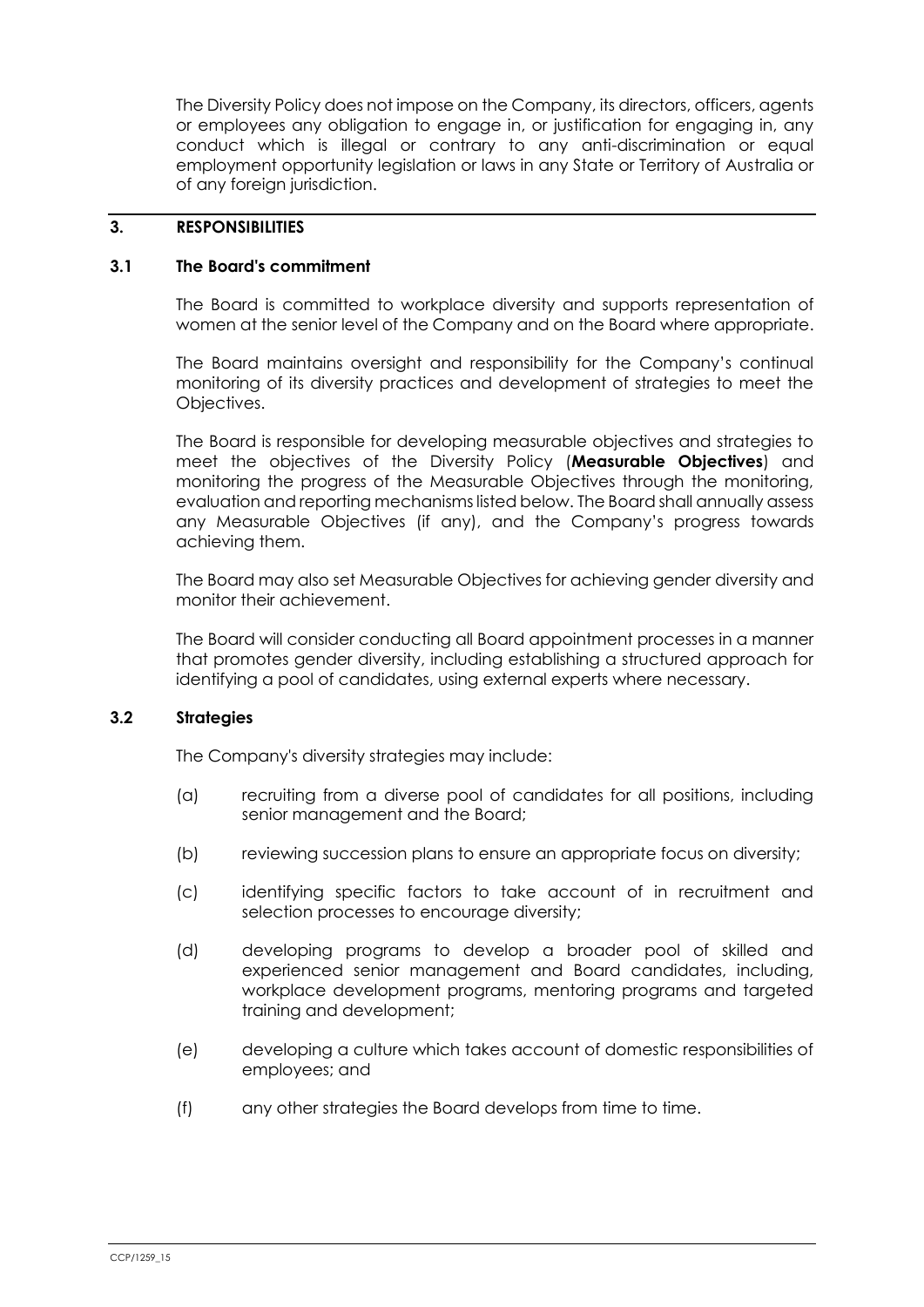The Diversity Policy does not impose on the Company, its directors, officers, agents or employees any obligation to engage in, or justification for engaging in, any conduct which is illegal or contrary to any anti-discrimination or equal employment opportunity legislation or laws in any State or Territory of Australia or of any foreign jurisdiction.

#### **3. RESPONSIBILITIES**

#### **3.1 The Board's commitment**

The Board is committed to workplace diversity and supports representation of women at the senior level of the Company and on the Board where appropriate.

The Board maintains oversight and responsibility for the Company's continual monitoring of its diversity practices and development of strategies to meet the Objectives.

The Board is responsible for developing measurable objectives and strategies to meet the objectives of the Diversity Policy (**Measurable Objectives**) and monitoring the progress of the Measurable Objectives through the monitoring, evaluation and reporting mechanisms listed below. The Board shall annually assess any Measurable Objectives (if any), and the Company's progress towards achieving them.

The Board may also set Measurable Objectives for achieving gender diversity and monitor their achievement.

The Board will consider conducting all Board appointment processes in a manner that promotes gender diversity, including establishing a structured approach for identifying a pool of candidates, using external experts where necessary.

### **3.2 Strategies**

The Company's diversity strategies may include:

- (a) recruiting from a diverse pool of candidates for all positions, including senior management and the Board;
- (b) reviewing succession plans to ensure an appropriate focus on diversity;
- (c) identifying specific factors to take account of in recruitment and selection processes to encourage diversity;
- (d) developing programs to develop a broader pool of skilled and experienced senior management and Board candidates, including, workplace development programs, mentoring programs and targeted training and development;
- (e) developing a culture which takes account of domestic responsibilities of employees; and
- (f) any other strategies the Board develops from time to time.